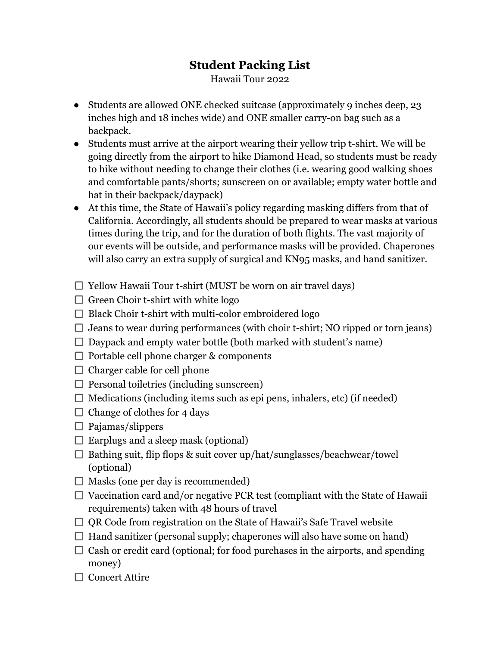## **Student Packing List**

Hawaii Tour 2022

- Students are allowed ONE checked suitcase (approximately 9 inches deep, 23 inches high and 18 inches wide) and ONE smaller carry-on bag such as a backpack.
- Students must arrive at the airport wearing their yellow trip t-shirt. We will be going directly from the airport to hike Diamond Head, so students must be ready to hike without needing to change their clothes (i.e. wearing good walking shoes and comfortable pants/shorts; sunscreen on or available; empty water bottle and hat in their backpack/daypack)
- At this time, the State of Hawaii's policy regarding masking differs from that of California. Accordingly, all students should be prepared to wear masks at various times during the trip, and for the duration of both flights. The vast majority of our events will be outside, and performance masks will be provided. Chaperones will also carry an extra supply of surgical and KN95 masks, and hand sanitizer.
- $\Box$  Yellow Hawaii Tour t-shirt (MUST be worn on air travel days)
- $\Box$  Green Choir t-shirt with white logo
- $\Box$  Black Choir t-shirt with multi-color embroidered logo
- $\Box$  Jeans to wear during performances (with choir t-shirt; NO ripped or torn jeans)
- $\Box$  Daypack and empty water bottle (both marked with student's name)
- $\Box$  Portable cell phone charger & components
- $\Box$  Charger cable for cell phone
- $\Box$  Personal toiletries (including sunscreen)
- $\Box$  Medications (including items such as epi pens, inhalers, etc) (if needed)
- $\Box$  Change of clothes for 4 days
- $\Box$  Pajamas/slippers
- $\square$  Earplugs and a sleep mask (optional)
- $\square$  Bathing suit, flip flops & suit cover up/hat/sunglasses/beachwear/towel (optional)
- $\Box$  Masks (one per day is recommended)
- $\Box$  Vaccination card and/or negative PCR test (compliant with the State of Hawaii) requirements) taken with 48 hours of travel
- $\Box$  OR Code from registration on the State of Hawaii's Safe Travel website
- $\Box$  Hand sanitizer (personal supply; chaperones will also have some on hand)
- $\Box$  Cash or credit card (optional; for food purchases in the airports, and spending money)
- $\Box$  Concert Attire